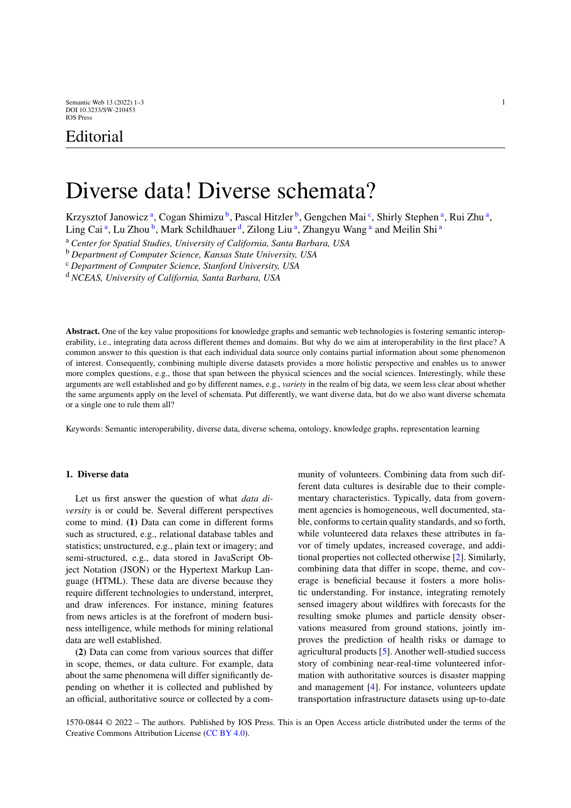# Editorial

# Diverse data! Diverse schemata?

Krzysztof J[a](#page-0-0)nowicz<sup>a</sup>, Cogan Shimizu<sup>[b](#page-0-1)</sup>, Pas[c](#page-0-2)al Hitzler<sup>b</sup>, Gengchen Mai<sup>c</sup>, Shirly Stephen<sup>a</sup>, Rui Zhu<sup>a</sup>,

Ling C[a](#page-0-0)i<sup>a</sup>, Lu Zhou<sup>[b](#page-0-1)</sup>, Mark Schil[d](#page-0-3)hauer<sup>d</sup>, Zilong Liu<sup>a</sup>, Zhangyu Wang<sup>a</sup> and Meilin Shi<sup>a</sup>

<span id="page-0-1"></span><sup>a</sup> *Center for Spatial Studies, University of California, Santa Barbara, USA*

<span id="page-0-2"></span><sup>b</sup> *Department of Computer Science, Kansas State University, USA*

<span id="page-0-3"></span><sup>c</sup> *Department of Computer Science, Stanford University, USA*

<sup>d</sup> *NCEAS, University of California, Santa Barbara, USA*

**Abstract.** One of the key value propositions for knowledge graphs and semantic web technologies is fostering semantic interoperability, i.e., integrating data across different themes and domains. But why do we aim at interoperability in the first place? A common answer to this question is that each individual data source only contains partial information about some phenomenon of interest. Consequently, combining multiple diverse datasets provides a more holistic perspective and enables us to answer more complex questions, e.g., those that span between the physical sciences and the social sciences. Interestingly, while these arguments are well established and go by different names, e.g., *variety* in the realm of big data, we seem less clear about whether the same arguments apply on the level of schemata. Put differently, we want diverse data, but do we also want diverse schemata or a single one to rule them all?

Keywords: Semantic interoperability, diverse data, diverse schema, ontology, knowledge graphs, representation learning

## **1. Diverse data**

Let us first answer the question of what *data diversity* is or could be. Several different perspectives come to mind. **(1)** Data can come in different forms such as structured, e.g., relational database tables and statistics; unstructured, e.g., plain text or imagery; and semi-structured, e.g., data stored in JavaScript Object Notation (JSON) or the Hypertext Markup Language (HTML). These data are diverse because they require different technologies to understand, interpret, and draw inferences. For instance, mining features from news articles is at the forefront of modern business intelligence, while methods for mining relational data are well established.

**(2)** Data can come from various sources that differ in scope, themes, or data culture. For example, data about the same phenomena will differ significantly depending on whether it is collected and published by an official, authoritative source or collected by a com<span id="page-0-0"></span>munity of volunteers. Combining data from such different data cultures is desirable due to their complementary characteristics. Typically, data from government agencies is homogeneous, well documented, stable, conforms to certain quality standards, and so forth, while volunteered data relaxes these attributes in favor of timely updates, increased coverage, and additional properties not collected otherwise [[2\]](#page-2-0). Similarly, combining data that differ in scope, theme, and coverage is beneficial because it fosters a more holistic understanding. For instance, integrating remotely sensed imagery about wildfires with forecasts for the resulting smoke plumes and particle density observations measured from ground stations, jointly improves the prediction of health risks or damage to agricultural products [\[5](#page-2-1)]. Another well-studied success story of combining near-real-time volunteered information with authoritative sources is disaster mapping and management [[4\]](#page-2-2). For instance, volunteers update transportation infrastructure datasets using up-to-date

1570-0844 © 2022 – The authors. Published by IOS Press. This is an Open Access article distributed under the terms of the Creative Commons Attribution License ([CC BY 4.0](https://creativecommons.org/licenses/by/4.0/)).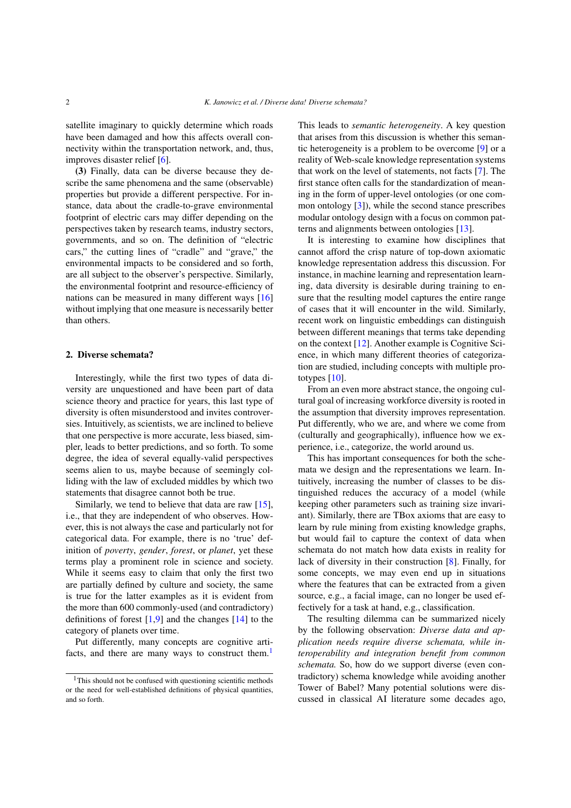satellite imaginary to quickly determine which roads have been damaged and how this affects overall connectivity within the transportation network, and, thus, improves disaster relief [\[6\]](#page-2-3).

**(3)** Finally, data can be diverse because they describe the same phenomena and the same (observable) properties but provide a different perspective. For instance, data about the cradle-to-grave environmental footprint of electric cars may differ depending on the perspectives taken by research teams, industry sectors, governments, and so on. The definition of "electric cars," the cutting lines of "cradle" and "grave," the environmental impacts to be considered and so forth, are all subject to the observer's perspective. Similarly, the environmental footprint and resource-efficiency of nations can be measured in many different ways [\[16](#page-2-4)] without implying that one measure is necessarily better than others.

#### **2. Diverse schemata?**

Interestingly, while the first two types of data diversity are unquestioned and have been part of data science theory and practice for years, this last type of diversity is often misunderstood and invites controversies. Intuitively, as scientists, we are inclined to believe that one perspective is more accurate, less biased, simpler, leads to better predictions, and so forth. To some degree, the idea of several equally-valid perspectives seems alien to us, maybe because of seemingly colliding with the law of excluded middles by which two statements that disagree cannot both be true.

Similarly, we tend to believe that data are raw [[15\]](#page-2-5), i.e., that they are independent of who observes. However, this is not always the case and particularly not for categorical data. For example, there is no 'true' definition of *poverty*, *gender*, *forest*, or *planet*, yet these terms play a prominent role in science and society. While it seems easy to claim that only the first two are partially defined by culture and society, the same is true for the latter examples as it is evident from the more than 600 commonly-used (and contradictory) definitions of forest  $[1,9]$  $[1,9]$  $[1,9]$  $[1,9]$  and the changes  $[14]$  $[14]$  to the category of planets over time.

Put differently, many concepts are cognitive arti-facts, and there are many ways to construct them.<sup>[1](#page-1-0)</sup>

This leads to *semantic heterogeneity*. A key question that arises from this discussion is whether this semantic heterogeneity is a problem to be overcome [\[9](#page-2-7)] or a reality of Web-scale knowledge representation systems that work on the level of statements, not facts [[7\]](#page-2-9). The first stance often calls for the standardization of meaning in the form of upper-level ontologies (or one common ontology [\[3](#page-2-10)]), while the second stance prescribes modular ontology design with a focus on common patterns and alignments between ontologies [\[13\]](#page-2-11).

It is interesting to examine how disciplines that cannot afford the crisp nature of top-down axiomatic knowledge representation address this discussion. For instance, in machine learning and representation learning, data diversity is desirable during training to ensure that the resulting model captures the entire range of cases that it will encounter in the wild. Similarly, recent work on linguistic embeddings can distinguish between different meanings that terms take depending on the context [[12\]](#page-2-12). Another example is Cognitive Science, in which many different theories of categorization are studied, including concepts with multiple prototypes [\[10](#page-2-13)].

From an even more abstract stance, the ongoing cultural goal of increasing workforce diversity is rooted in the assumption that diversity improves representation. Put differently, who we are, and where we come from (culturally and geographically), influence how we experience, i.e., categorize, the world around us.

This has important consequences for both the schemata we design and the representations we learn. Intuitively, increasing the number of classes to be distinguished reduces the accuracy of a model (while keeping other parameters such as training size invariant). Similarly, there are TBox axioms that are easy to learn by rule mining from existing knowledge graphs, but would fail to capture the context of data when schemata do not match how data exists in reality for lack of diversity in their construction [[8\]](#page-2-14). Finally, for some concepts, we may even end up in situations where the features that can be extracted from a given source, e.g., a facial image, can no longer be used effectively for a task at hand, e.g., classification.

The resulting dilemma can be summarized nicely by the following observation: *Diverse data and application needs require diverse schemata, while interoperability and integration benefit from common schemata.* So, how do we support diverse (even contradictory) schema knowledge while avoiding another Tower of Babel? Many potential solutions were discussed in classical AI literature some decades ago,

<span id="page-1-0"></span><sup>&</sup>lt;sup>1</sup>This should not be confused with questioning scientific methods or the need for well-established definitions of physical quantities, and so forth.